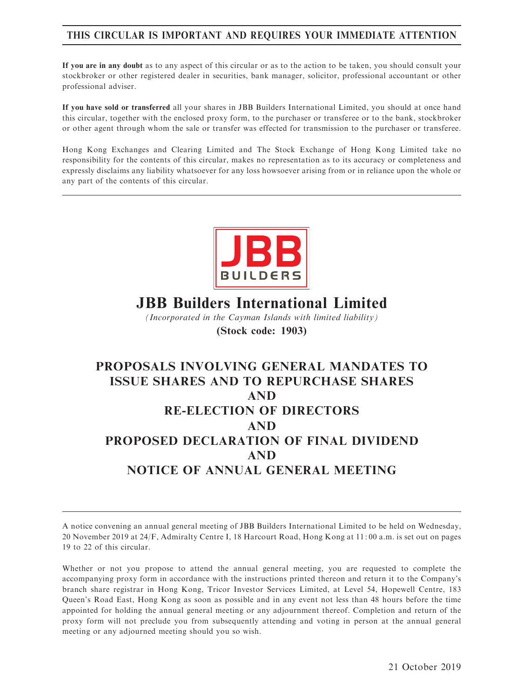# THIS CIRCULAR IS IMPORTANT AND REQUIRES YOUR IMMEDIATE ATTENTION

If you are in any doubt as to any aspect of this circular or as to the action to be taken, you should consult your stockbroker or other registered dealer in securities, bank manager, solicitor, professional accountant or other professional adviser.

If you have sold or transferred all your shares in JBB Builders International Limited, you should at once hand this circular, together with the enclosed proxy form, to the purchaser or transferee or to the bank, stockbroker or other agent through whom the sale or transfer was effected for transmission to the purchaser or transferee.

Hong Kong Exchanges and Clearing Limited and The Stock Exchange of Hong Kong Limited take no responsibility for the contents of this circular, makes no representation as to its accuracy or completeness and expressly disclaims any liability whatsoever for any loss howsoever arising from or in reliance upon the whole or any part of the contents of this circular.



# JBB Builders International Limited

(Incorporated in the Cayman Islands with limited liability) (Stock code: 1903)

# PROPOSALS INVOLVING GENERAL MANDATES TO ISSUE SHARES AND TO REPURCHASE SHARES AND RE-ELECTION OF DIRECTORS AND PROPOSED DECLARATION OF FINAL DIVIDEND AND NOTICE OF ANNUAL GENERAL MEETING

A notice convening an annual general meeting of JBB Builders International Limited to be held on Wednesday, 20 November 2019 at 24/F, Admiralty Centre I, 18 Harcourt Road, Hong Kong at 11: 00 a.m. is set out on pages 19 to 22 of this circular.

Whether or not you propose to attend the annual general meeting, you are requested to complete the accompanying proxy form in accordance with the instructions printed thereon and return it to the Company's branch share registrar in Hong Kong, Tricor Investor Services Limited, at Level 54, Hopewell Centre, 183 Queen's Road East, Hong Kong as soon as possible and in any event not less than 48 hours before the time appointed for holding the annual general meeting or any adjournment thereof. Completion and return of the proxy form will not preclude you from subsequently attending and voting in person at the annual general meeting or any adjourned meeting should you so wish.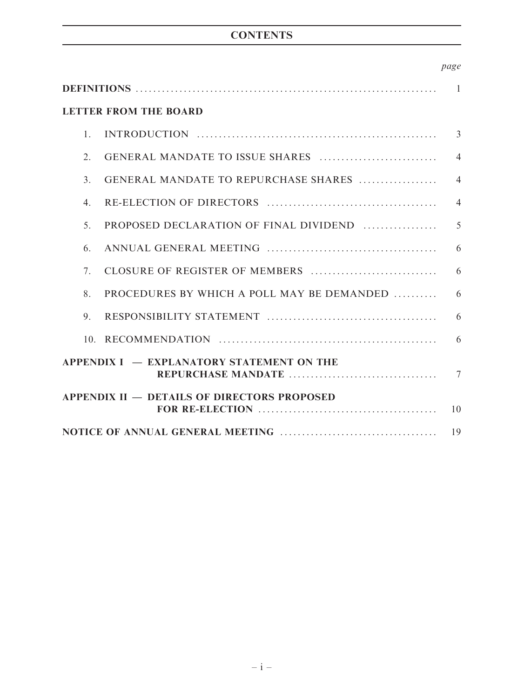# **CONTENTS**

|                                           | <b>LETTER FROM THE BOARD</b>                       |                |  |
|-------------------------------------------|----------------------------------------------------|----------------|--|
| $\mathbf{1}$                              |                                                    | 3              |  |
| 2.                                        |                                                    | $\overline{4}$ |  |
| $\mathcal{E}$                             | GENERAL MANDATE TO REPURCHASE SHARES               | $\overline{4}$ |  |
| $\mathbf{4}$ .                            |                                                    | $\overline{4}$ |  |
| 5 <sub>1</sub>                            | PROPOSED DECLARATION OF FINAL DIVIDEND             | 5              |  |
| 6.                                        |                                                    | 6              |  |
| $7_{\scriptscriptstyle{\ddots}}$          |                                                    | 6              |  |
| 8.                                        | PROCEDURES BY WHICH A POLL MAY BE DEMANDED         | 6              |  |
| 9.                                        |                                                    | 6              |  |
|                                           |                                                    | 6              |  |
| APPENDIX I - EXPLANATORY STATEMENT ON THE |                                                    |                |  |
|                                           | <b>APPENDIX II – DETAILS OF DIRECTORS PROPOSED</b> | 10             |  |
| 19                                        |                                                    |                |  |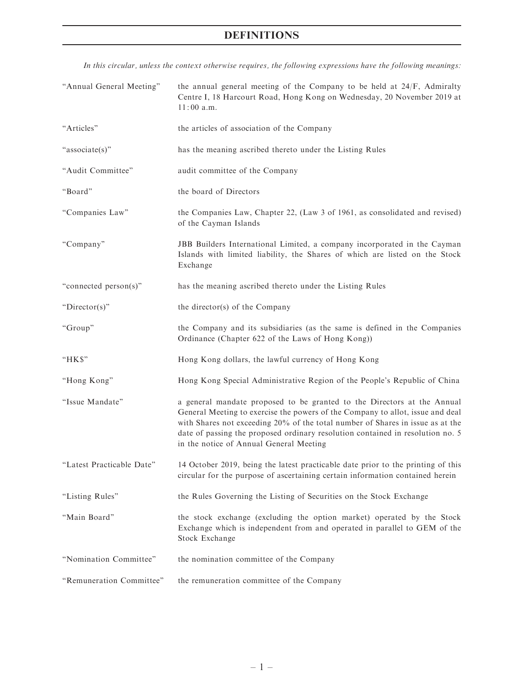# DEFINITIONS

In this circular, unless the context otherwise requires, the following expressions have the following meanings:

| "Annual General Meeting"  | the annual general meeting of the Company to be held at $24/F$ , Admiralty<br>Centre I, 18 Harcourt Road, Hong Kong on Wednesday, 20 November 2019 at<br>$11:00$ a.m.                                                                                                                                                                                                    |
|---------------------------|--------------------------------------------------------------------------------------------------------------------------------------------------------------------------------------------------------------------------------------------------------------------------------------------------------------------------------------------------------------------------|
| "Articles"                | the articles of association of the Company                                                                                                                                                                                                                                                                                                                               |
| "associate(s)"            | has the meaning ascribed thereto under the Listing Rules                                                                                                                                                                                                                                                                                                                 |
| "Audit Committee"         | audit committee of the Company                                                                                                                                                                                                                                                                                                                                           |
| "Board"                   | the board of Directors                                                                                                                                                                                                                                                                                                                                                   |
| "Companies Law"           | the Companies Law, Chapter 22, (Law 3 of 1961, as consolidated and revised)<br>of the Cayman Islands                                                                                                                                                                                                                                                                     |
| "Company"                 | JBB Builders International Limited, a company incorporated in the Cayman<br>Islands with limited liability, the Shares of which are listed on the Stock<br>Exchange                                                                                                                                                                                                      |
| "connected person(s)"     | has the meaning ascribed thereto under the Listing Rules                                                                                                                                                                                                                                                                                                                 |
| "Director(s)"             | the director(s) of the Company                                                                                                                                                                                                                                                                                                                                           |
| "Group"                   | the Company and its subsidiaries (as the same is defined in the Companies<br>Ordinance (Chapter 622 of the Laws of Hong Kong))                                                                                                                                                                                                                                           |
| " $HKS$ "                 | Hong Kong dollars, the lawful currency of Hong Kong                                                                                                                                                                                                                                                                                                                      |
| "Hong Kong"               | Hong Kong Special Administrative Region of the People's Republic of China                                                                                                                                                                                                                                                                                                |
| "Issue Mandate"           | a general mandate proposed to be granted to the Directors at the Annual<br>General Meeting to exercise the powers of the Company to allot, issue and deal<br>with Shares not exceeding 20% of the total number of Shares in issue as at the<br>date of passing the proposed ordinary resolution contained in resolution no. 5<br>in the notice of Annual General Meeting |
| "Latest Practicable Date" | 14 October 2019, being the latest practicable date prior to the printing of this<br>circular for the purpose of ascertaining certain information contained herein                                                                                                                                                                                                        |
| "Listing Rules"           | the Rules Governing the Listing of Securities on the Stock Exchange                                                                                                                                                                                                                                                                                                      |
| "Main Board"              | the stock exchange (excluding the option market) operated by the Stock<br>Exchange which is independent from and operated in parallel to GEM of the<br>Stock Exchange                                                                                                                                                                                                    |
| "Nomination Committee"    | the nomination committee of the Company                                                                                                                                                                                                                                                                                                                                  |
| "Remuneration Committee"  | the remuneration committee of the Company                                                                                                                                                                                                                                                                                                                                |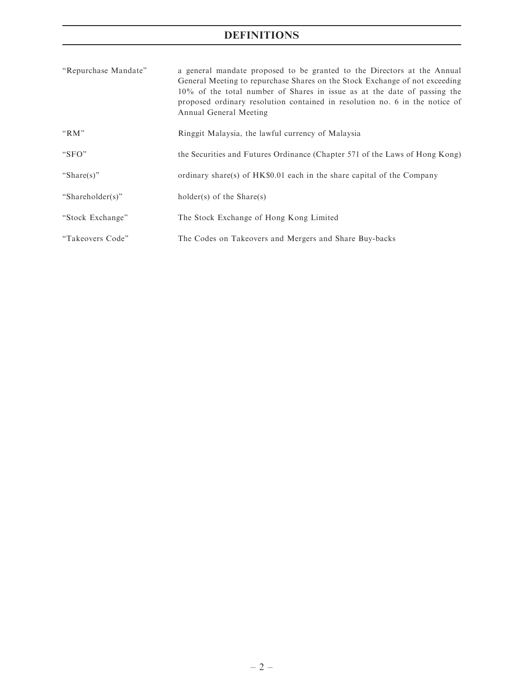# DEFINITIONS

| "Repurchase Mandate" | a general mandate proposed to be granted to the Directors at the Annual<br>General Meeting to repurchase Shares on the Stock Exchange of not exceeding<br>10% of the total number of Shares in issue as at the date of passing the<br>proposed ordinary resolution contained in resolution no. 6 in the notice of<br>Annual General Meeting |
|----------------------|---------------------------------------------------------------------------------------------------------------------------------------------------------------------------------------------------------------------------------------------------------------------------------------------------------------------------------------------|
| " $RM$ "             | Ringgit Malaysia, the lawful currency of Malaysia                                                                                                                                                                                                                                                                                           |
| " $SFO"$             | the Securities and Futures Ordinance (Chapter 571 of the Laws of Hong Kong)                                                                                                                                                                                                                                                                 |
| "Share(s)"           | ordinary share(s) of HK\$0.01 each in the share capital of the Company                                                                                                                                                                                                                                                                      |
| "Shareholder(s)"     | holder(s) of the Share(s)                                                                                                                                                                                                                                                                                                                   |
| "Stock Exchange"     | The Stock Exchange of Hong Kong Limited                                                                                                                                                                                                                                                                                                     |
| "Takeovers Code"     | The Codes on Takeovers and Mergers and Share Buy-backs                                                                                                                                                                                                                                                                                      |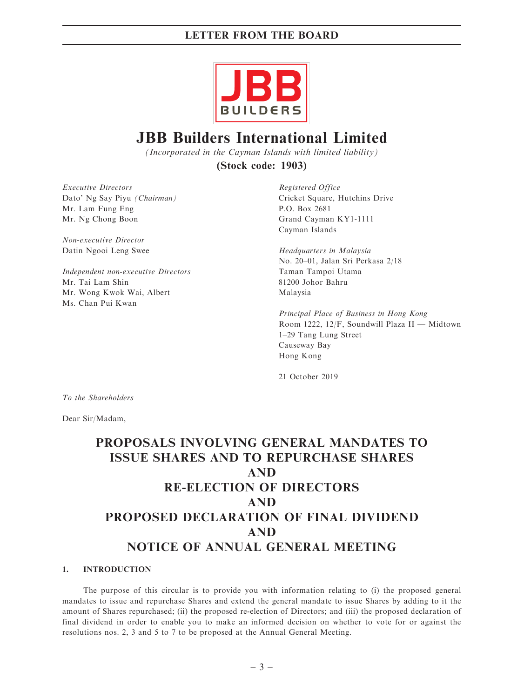

# JBB Builders International Limited

(Incorporated in the Cayman Islands with limited liability)

(Stock code: 1903)

Executive Directors Dato' Ng Say Piyu (Chairman) Mr. Lam Fung Eng Mr. Ng Chong Boon

Non-executive Director Datin Ngooi Leng Swee

Independent non-executive Directors Mr. Tai Lam Shin Mr. Wong Kwok Wai, Albert Ms. Chan Pui Kwan

Registered Office Cricket Square, Hutchins Drive P.O. Box 2681 Grand Cayman KY1-1111 Cayman Islands

Headquarters in Malaysia No. 20–01, Jalan Sri Perkasa 2/18 Taman Tampoi Utama 81200 Johor Bahru Malaysia

Principal Place of Business in Hong Kong Room 1222, 12/F, Soundwill Plaza II — Midtown 1–29 Tang Lung Street Causeway Bay Hong Kong

21 October 2019

To the Shareholders

Dear Sir/Madam,

# PROPOSALS INVOLVING GENERAL MANDATES TO ISSUE SHARES AND TO REPURCHASE SHARES AND RE-ELECTION OF DIRECTORS AND PROPOSED DECLARATION OF FINAL DIVIDEND AND NOTICE OF ANNUAL GENERAL MEETING

### 1. INTRODUCTION

The purpose of this circular is to provide you with information relating to (i) the proposed general mandates to issue and repurchase Shares and extend the general mandate to issue Shares by adding to it the amount of Shares repurchased; (ii) the proposed re-election of Directors; and (iii) the proposed declaration of final dividend in order to enable you to make an informed decision on whether to vote for or against the resolutions nos. 2, 3 and 5 to 7 to be proposed at the Annual General Meeting.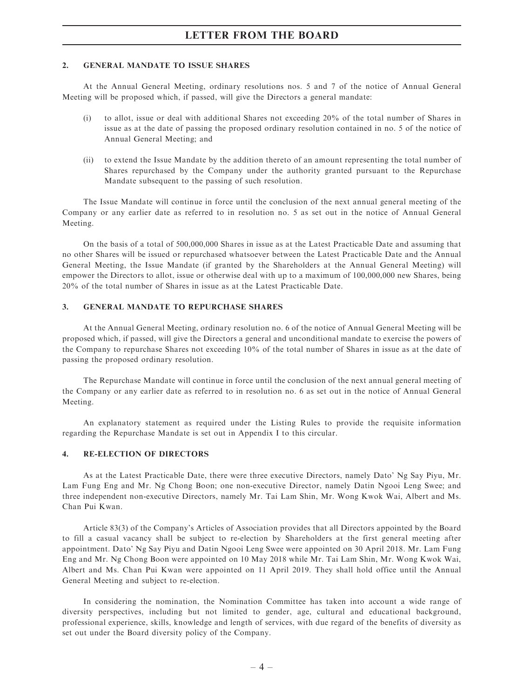#### 2. GENERAL MANDATE TO ISSUE SHARES

At the Annual General Meeting, ordinary resolutions nos. 5 and 7 of the notice of Annual General Meeting will be proposed which, if passed, will give the Directors a general mandate:

- (i) to allot, issue or deal with additional Shares not exceeding 20% of the total number of Shares in issue as at the date of passing the proposed ordinary resolution contained in no. 5 of the notice of Annual General Meeting; and
- (ii) to extend the Issue Mandate by the addition thereto of an amount representing the total number of Shares repurchased by the Company under the authority granted pursuant to the Repurchase Mandate subsequent to the passing of such resolution.

The Issue Mandate will continue in force until the conclusion of the next annual general meeting of the Company or any earlier date as referred to in resolution no. 5 as set out in the notice of Annual General Meeting.

On the basis of a total of 500,000,000 Shares in issue as at the Latest Practicable Date and assuming that no other Shares will be issued or repurchased whatsoever between the Latest Practicable Date and the Annual General Meeting, the Issue Mandate (if granted by the Shareholders at the Annual General Meeting) will empower the Directors to allot, issue or otherwise deal with up to a maximum of 100,000,000 new Shares, being 20% of the total number of Shares in issue as at the Latest Practicable Date.

#### 3. GENERAL MANDATE TO REPURCHASE SHARES

At the Annual General Meeting, ordinary resolution no. 6 of the notice of Annual General Meeting will be proposed which, if passed, will give the Directors a general and unconditional mandate to exercise the powers of the Company to repurchase Shares not exceeding 10% of the total number of Shares in issue as at the date of passing the proposed ordinary resolution.

The Repurchase Mandate will continue in force until the conclusion of the next annual general meeting of the Company or any earlier date as referred to in resolution no. 6 as set out in the notice of Annual General Meeting.

An explanatory statement as required under the Listing Rules to provide the requisite information regarding the Repurchase Mandate is set out in Appendix I to this circular.

#### 4. RE-ELECTION OF DIRECTORS

As at the Latest Practicable Date, there were three executive Directors, namely Dato' Ng Say Piyu, Mr. Lam Fung Eng and Mr. Ng Chong Boon; one non-executive Director, namely Datin Ngooi Leng Swee; and three independent non-executive Directors, namely Mr. Tai Lam Shin, Mr. Wong Kwok Wai, Albert and Ms. Chan Pui Kwan.

Article 83(3) of the Company's Articles of Association provides that all Directors appointed by the Board to fill a casual vacancy shall be subject to re-election by Shareholders at the first general meeting after appointment. Dato' Ng Say Piyu and Datin Ngooi Leng Swee were appointed on 30 April 2018. Mr. Lam Fung Eng and Mr. Ng Chong Boon were appointed on 10 May 2018 while Mr. Tai Lam Shin, Mr. Wong Kwok Wai, Albert and Ms. Chan Pui Kwan were appointed on 11 April 2019. They shall hold office until the Annual General Meeting and subject to re-election.

In considering the nomination, the Nomination Committee has taken into account a wide range of diversity perspectives, including but not limited to gender, age, cultural and educational background, professional experience, skills, knowledge and length of services, with due regard of the benefits of diversity as set out under the Board diversity policy of the Company.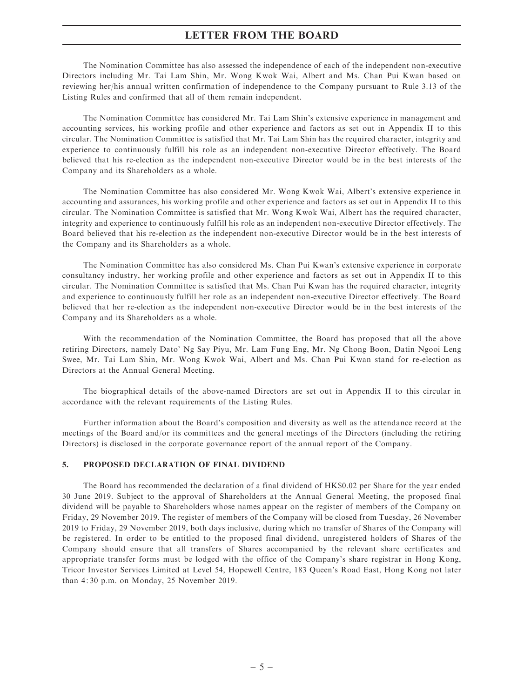The Nomination Committee has also assessed the independence of each of the independent non-executive Directors including Mr. Tai Lam Shin, Mr. Wong Kwok Wai, Albert and Ms. Chan Pui Kwan based on reviewing her/his annual written confirmation of independence to the Company pursuant to Rule 3.13 of the Listing Rules and confirmed that all of them remain independent.

The Nomination Committee has considered Mr. Tai Lam Shin's extensive experience in management and accounting services, his working profile and other experience and factors as set out in Appendix II to this circular. The Nomination Committee is satisfied that Mr. Tai Lam Shin has the required character, integrity and experience to continuously fulfill his role as an independent non-executive Director effectively. The Board believed that his re-election as the independent non-executive Director would be in the best interests of the Company and its Shareholders as a whole.

The Nomination Committee has also considered Mr. Wong Kwok Wai, Albert's extensive experience in accounting and assurances, his working profile and other experience and factors as set out in Appendix II to this circular. The Nomination Committee is satisfied that Mr. Wong Kwok Wai, Albert has the required character, integrity and experience to continuously fulfill his role as an independent non-executive Director effectively. The Board believed that his re-election as the independent non-executive Director would be in the best interests of the Company and its Shareholders as a whole.

The Nomination Committee has also considered Ms. Chan Pui Kwan's extensive experience in corporate consultancy industry, her working profile and other experience and factors as set out in Appendix II to this circular. The Nomination Committee is satisfied that Ms. Chan Pui Kwan has the required character, integrity and experience to continuously fulfill her role as an independent non-executive Director effectively. The Board believed that her re-election as the independent non-executive Director would be in the best interests of the Company and its Shareholders as a whole.

With the recommendation of the Nomination Committee, the Board has proposed that all the above retiring Directors, namely Dato' Ng Say Piyu, Mr. Lam Fung Eng, Mr. Ng Chong Boon, Datin Ngooi Leng Swee, Mr. Tai Lam Shin, Mr. Wong Kwok Wai, Albert and Ms. Chan Pui Kwan stand for re-election as Directors at the Annual General Meeting.

The biographical details of the above-named Directors are set out in Appendix II to this circular in accordance with the relevant requirements of the Listing Rules.

Further information about the Board's composition and diversity as well as the attendance record at the meetings of the Board and/or its committees and the general meetings of the Directors (including the retiring Directors) is disclosed in the corporate governance report of the annual report of the Company.

### 5. PROPOSED DECLARATION OF FINAL DIVIDEND

The Board has recommended the declaration of a final dividend of HK\$0.02 per Share for the year ended 30 June 2019. Subject to the approval of Shareholders at the Annual General Meeting, the proposed final dividend will be payable to Shareholders whose names appear on the register of members of the Company on Friday, 29 November 2019. The register of members of the Company will be closed from Tuesday, 26 November 2019 to Friday, 29 November 2019, both days inclusive, during which no transfer of Shares of the Company will be registered. In order to be entitled to the proposed final dividend, unregistered holders of Shares of the Company should ensure that all transfers of Shares accompanied by the relevant share certificates and appropriate transfer forms must be lodged with the office of the Company's share registrar in Hong Kong, Tricor Investor Services Limited at Level 54, Hopewell Centre, 183 Queen's Road East, Hong Kong not later than 4: 30 p.m. on Monday, 25 November 2019.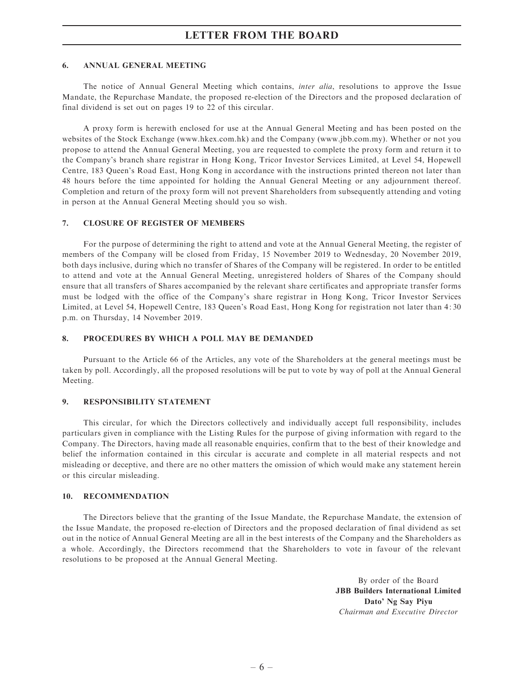#### 6. ANNUAL GENERAL MEETING

The notice of Annual General Meeting which contains, inter alia, resolutions to approve the Issue Mandate, the Repurchase Mandate, the proposed re-election of the Directors and the proposed declaration of final dividend is set out on pages 19 to 22 of this circular.

A proxy form is herewith enclosed for use at the Annual General Meeting and has been posted on the websites of the Stock Exchange (www.hkex.com.hk) and the Company (www.jbb.com.my). Whether or not you propose to attend the Annual General Meeting, you are requested to complete the proxy form and return it to the Company's branch share registrar in Hong Kong, Tricor Investor Services Limited, at Level 54, Hopewell Centre, 183 Queen's Road East, Hong Kong in accordance with the instructions printed thereon not later than 48 hours before the time appointed for holding the Annual General Meeting or any adjournment thereof. Completion and return of the proxy form will not prevent Shareholders from subsequently attending and voting in person at the Annual General Meeting should you so wish.

#### 7. CLOSURE OF REGISTER OF MEMBERS

For the purpose of determining the right to attend and vote at the Annual General Meeting, the register of members of the Company will be closed from Friday, 15 November 2019 to Wednesday, 20 November 2019, both days inclusive, during which no transfer of Shares of the Company will be registered. In order to be entitled to attend and vote at the Annual General Meeting, unregistered holders of Shares of the Company should ensure that all transfers of Shares accompanied by the relevant share certificates and appropriate transfer forms must be lodged with the office of the Company's share registrar in Hong Kong, Tricor Investor Services Limited, at Level 54, Hopewell Centre, 183 Queen's Road East, Hong Kong for registration not later than 4: 30 p.m. on Thursday, 14 November 2019.

#### 8. PROCEDURES BY WHICH A POLL MAY BE DEMANDED

Pursuant to the Article 66 of the Articles, any vote of the Shareholders at the general meetings must be taken by poll. Accordingly, all the proposed resolutions will be put to vote by way of poll at the Annual General Meeting.

#### 9. RESPONSIBILITY STATEMENT

This circular, for which the Directors collectively and individually accept full responsibility, includes particulars given in compliance with the Listing Rules for the purpose of giving information with regard to the Company. The Directors, having made all reasonable enquiries, confirm that to the best of their knowledge and belief the information contained in this circular is accurate and complete in all material respects and not misleading or deceptive, and there are no other matters the omission of which would make any statement herein or this circular misleading.

#### 10. RECOMMENDATION

The Directors believe that the granting of the Issue Mandate, the Repurchase Mandate, the extension of the Issue Mandate, the proposed re-election of Directors and the proposed declaration of final dividend as set out in the notice of Annual General Meeting are all in the best interests of the Company and the Shareholders as a whole. Accordingly, the Directors recommend that the Shareholders to vote in favour of the relevant resolutions to be proposed at the Annual General Meeting.

> By order of the Board JBB Builders International Limited Dato' Ng Say Piyu Chairman and Executive Director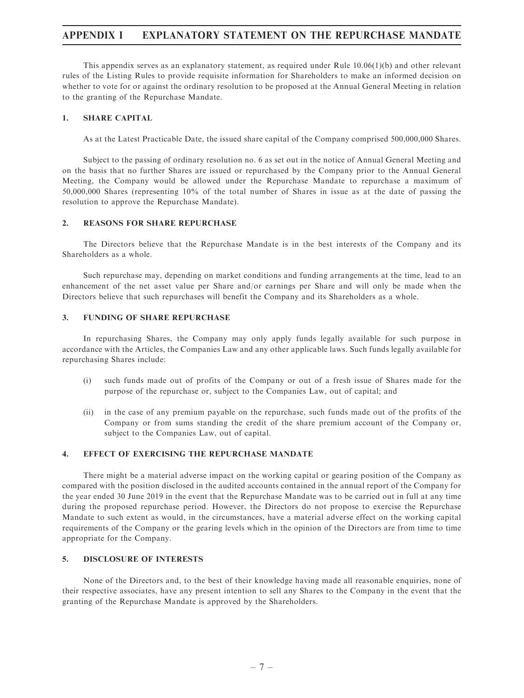### APPENDIX I EXPLANATORY STATEMENT ON THE REPURCHASE MANDATE

This appendix serves as an explanatory statement, as required under Rule 10.06(1)(b) and other relevant rules of the Listing Rules to provide requisite information for Shareholders to make an informed decision on whether to vote for or against the ordinary resolution to be proposed at the Annual General Meeting in relation to the granting of the Repurchase Mandate.

### 1. SHARE CAPITAL

As at the Latest Practicable Date, the issued share capital of the Company comprised 500,000,000 Shares.

Subject to the passing of ordinary resolution no. 6 as set out in the notice of Annual General Meeting and on the basis that no further Shares are issued or repurchased by the Company prior to the Annual General Meeting, the Company would be allowed under the Repurchase Mandate to repurchase a maximum of 50,000,000 Shares (representing 10% of the total number of Shares in issue as at the date of passing the resolution to approve the Repurchase Mandate).

#### 2. REASONS FOR SHARE REPURCHASE

The Directors believe that the Repurchase Mandate is in the best interests of the Company and its Shareholders as a whole.

Such repurchase may, depending on market conditions and funding arrangements at the time, lead to an enhancement of the net asset value per Share and/or earnings per Share and will only be made when the Directors believe that such repurchases will benefit the Company and its Shareholders as a whole.

### 3. FUNDING OF SHARE REPURCHASE

In repurchasing Shares, the Company may only apply funds legally available for such purpose in accordance with the Articles, the Companies Law and any other applicable laws. Such funds legally available for repurchasing Shares include:

- (i) such funds made out of profits of the Company or out of a fresh issue of Shares made for the purpose of the repurchase or, subject to the Companies Law, out of capital; and
- (ii) in the case of any premium payable on the repurchase, such funds made out of the profits of the Company or from sums standing the credit of the share premium account of the Company or, subject to the Companies Law, out of capital.

#### 4. EFFECT OF EXERCISING THE REPURCHASE MANDATE

There might be a material adverse impact on the working capital or gearing position of the Company as compared with the position disclosed in the audited accounts contained in the annual report of the Company for the year ended 30 June 2019 in the event that the Repurchase Mandate was to be carried out in full at any time during the proposed repurchase period. However, the Directors do not propose to exercise the Repurchase Mandate to such extent as would, in the circumstances, have a material adverse effect on the working capital requirements of the Company or the gearing levels which in the opinion of the Directors are from time to time appropriate for the Company.

### 5. DISCLOSURE OF INTERESTS

None of the Directors and, to the best of their knowledge having made all reasonable enquiries, none of their respective associates, have any present intention to sell any Shares to the Company in the event that the granting of the Repurchase Mandate is approved by the Shareholders.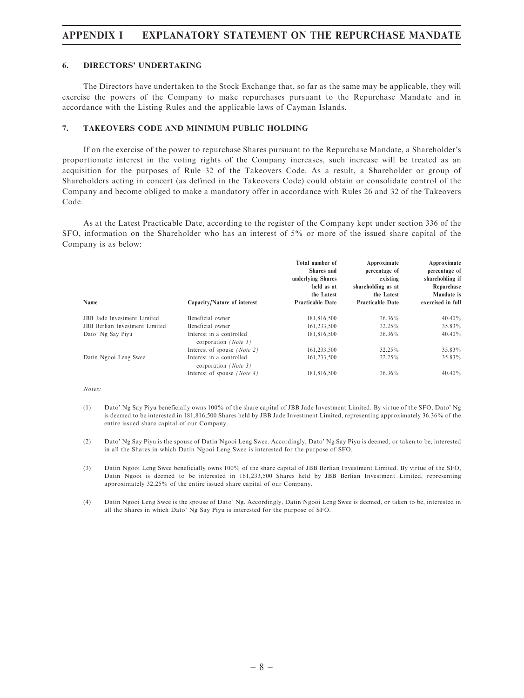### APPENDIX I EXPLANATORY STATEMENT ON THE REPURCHASE MANDATE

#### 6. DIRECTORS' UNDERTAKING

The Directors have undertaken to the Stock Exchange that, so far as the same may be applicable, they will exercise the powers of the Company to make repurchases pursuant to the Repurchase Mandate and in accordance with the Listing Rules and the applicable laws of Cayman Islands.

### 7. TAKEOVERS CODE AND MINIMUM PUBLIC HOLDING

If on the exercise of the power to repurchase Shares pursuant to the Repurchase Mandate, a Shareholder's proportionate interest in the voting rights of the Company increases, such increase will be treated as an acquisition for the purposes of Rule 32 of the Takeovers Code. As a result, a Shareholder or group of Shareholders acting in concert (as defined in the Takeovers Code) could obtain or consolidate control of the Company and become obliged to make a mandatory offer in accordance with Rules 26 and 32 of the Takeovers Code.

As at the Latest Practicable Date, according to the register of the Company kept under section 336 of the SFO, information on the Shareholder who has an interest of 5% or more of the issued share capital of the Company is as below:

| Name                                  | Capacity/Nature of interest                      | Total number of<br>Shares and<br>underlying Shares<br>held as at<br>the Latest<br><b>Practicable Date</b> | Approximate<br>percentage of<br>existing<br>shareholding as at<br>the Latest<br><b>Practicable Date</b> | Approximate<br>percentage of<br>shareholding if<br>Repurchase<br>Mandate is<br>exercised in full |
|---------------------------------------|--------------------------------------------------|-----------------------------------------------------------------------------------------------------------|---------------------------------------------------------------------------------------------------------|--------------------------------------------------------------------------------------------------|
| <b>JBB</b> Jade Investment Limited    | Beneficial owner                                 | 181,816,500                                                                                               | 36.36%                                                                                                  | 40.40%                                                                                           |
| <b>JBB</b> Berlian Investment Limited | Beneficial owner                                 | 161,233,500                                                                                               | 32.25%                                                                                                  | 35.83%                                                                                           |
| Dato' Ng Say Piyu                     | Interest in a controlled<br>corporation (Note 1) | 181,816,500                                                                                               | 36.36%                                                                                                  | $40.40\%$                                                                                        |
|                                       | Interest of spouse <i>(Note 2)</i>               | 161,233,500                                                                                               | 32.25%                                                                                                  | 35.83%                                                                                           |
| Datin Ngooi Leng Swee                 | Interest in a controlled<br>corporation (Note 3) | 161,233,500                                                                                               | 32.25%                                                                                                  | 35.83%                                                                                           |
|                                       | Interest of spouse $(Note 4)$                    | 181,816,500                                                                                               | 36.36%                                                                                                  | $40.40\%$                                                                                        |

Notes:

- (1) Dato' Ng Say Piyu beneficially owns 100% of the share capital of JBB Jade Investment Limited. By virtue of the SFO, Dato' Ng is deemed to be interested in 181,816,500 Shares held by JBB Jade Investment Limited, representing approximately 36.36% of the entire issued share capital of our Company.
- (2) Dato' Ng Say Piyu is the spouse of Datin Ngooi Leng Swee. Accordingly, Dato' Ng Say Piyu is deemed, or taken to be, interested in all the Shares in which Datin Ngooi Leng Swee is interested for the purpose of SFO.
- (3) Datin Ngooi Leng Swee beneficially owns 100% of the share capital of JBB Berlian Investment Limited. By virtue of the SFO, Datin Ngooi is deemed to be interested in 161,233,500 Shares held by JBB Berlian Investment Limited, representing approximately 32.25% of the entire issued share capital of our Company.
- (4) Datin Ngooi Leng Swee is the spouse of Dato' Ng. Accordingly, Datin Ngooi Leng Swee is deemed, or taken to be, interested in all the Shares in which Dato' Ng Say Piyu is interested for the purpose of SFO.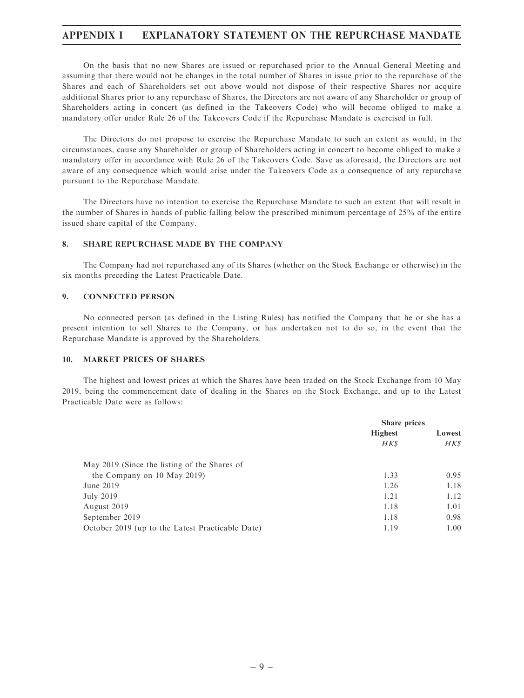### APPENDIX I EXPLANATORY STATEMENT ON THE REPURCHASE MANDATE

On the basis that no new Shares are issued or repurchased prior to the Annual General Meeting and assuming that there would not be changes in the total number of Shares in issue prior to the repurchase of the Shares and each of Shareholders set out above would not dispose of their respective Shares nor acquire additional Shares prior to any repurchase of Shares, the Directors are not aware of any Shareholder or group of Shareholders acting in concert (as defined in the Takeovers Code) who will become obliged to make a mandatory offer under Rule 26 of the Takeovers Code if the Repurchase Mandate is exercised in full.

The Directors do not propose to exercise the Repurchase Mandate to such an extent as would, in the circumstances, cause any Shareholder or group of Shareholders acting in concert to become obliged to make a mandatory offer in accordance with Rule 26 of the Takeovers Code. Save as aforesaid, the Directors are not aware of any consequence which would arise under the Takeovers Code as a consequence of any repurchase pursuant to the Repurchase Mandate.

The Directors have no intention to exercise the Repurchase Mandate to such an extent that will result in the number of Shares in hands of public falling below the prescribed minimum percentage of 25% of the entire issued share capital of the Company.

### 8. SHARE REPURCHASE MADE BY THE COMPANY

The Company had not repurchased any of its Shares (whether on the Stock Exchange or otherwise) in the six months preceding the Latest Practicable Date.

#### 9. CONNECTED PERSON

No connected person (as defined in the Listing Rules) has notified the Company that he or she has a present intention to sell Shares to the Company, or has undertaken not to do so, in the event that the Repurchase Mandate is approved by the Shareholders.

#### 10. MARKET PRICES OF SHARES

The highest and lowest prices at which the Shares have been traded on the Stock Exchange from 10 May 2019, being the commencement date of dealing in the Shares on the Stock Exchange, and up to the Latest Practicable Date were as follows:

|                                                  | Share prices             |      |
|--------------------------------------------------|--------------------------|------|
|                                                  | <b>Highest</b><br>Lowest |      |
|                                                  | HK\$                     | HK\$ |
| May 2019 (Since the listing of the Shares of     |                          |      |
| the Company on 10 May 2019)                      | 1.33                     | 0.95 |
| June 2019                                        | 1.26                     | 1.18 |
| July 2019                                        | 1.21                     | 1.12 |
| August 2019                                      | 1.18                     | 1.01 |
| September 2019                                   | 1.18                     | 0.98 |
| October 2019 (up to the Latest Practicable Date) | 1.19                     | 1.00 |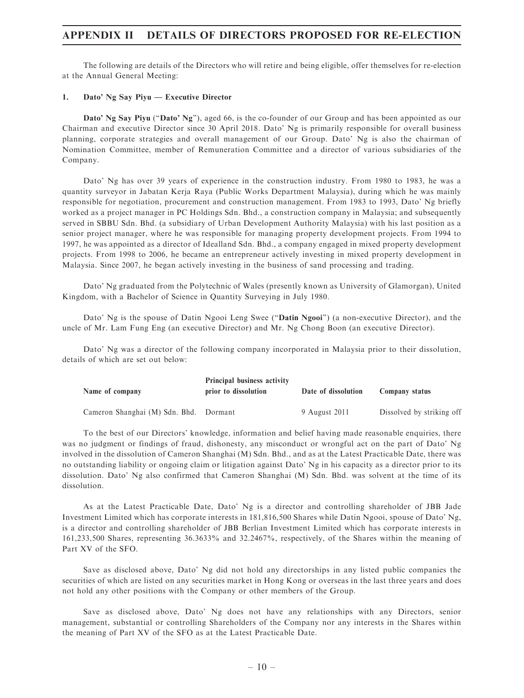The following are details of the Directors who will retire and being eligible, offer themselves for re-election at the Annual General Meeting:

#### 1. Dato' Ng Say Piyu — Executive Director

Dato' Ng Say Piyu (''Dato' Ng''), aged 66, is the co-founder of our Group and has been appointed as our Chairman and executive Director since 30 April 2018. Dato' Ng is primarily responsible for overall business planning, corporate strategies and overall management of our Group. Dato' Ng is also the chairman of Nomination Committee, member of Remuneration Committee and a director of various subsidiaries of the Company.

Dato' Ng has over 39 years of experience in the construction industry. From 1980 to 1983, he was a quantity surveyor in Jabatan Kerja Raya (Public Works Department Malaysia), during which he was mainly responsible for negotiation, procurement and construction management. From 1983 to 1993, Dato' Ng briefly worked as a project manager in PC Holdings Sdn. Bhd., a construction company in Malaysia; and subsequently served in SBBU Sdn. Bhd. (a subsidiary of Urban Development Authority Malaysia) with his last position as a senior project manager, where he was responsible for managing property development projects. From 1994 to 1997, he was appointed as a director of Idealland Sdn. Bhd., a company engaged in mixed property development projects. From 1998 to 2006, he became an entrepreneur actively investing in mixed property development in Malaysia. Since 2007, he began actively investing in the business of sand processing and trading.

Dato' Ng graduated from the Polytechnic of Wales (presently known as University of Glamorgan), United Kingdom, with a Bachelor of Science in Quantity Surveying in July 1980.

Dato' Ng is the spouse of Datin Ngooi Leng Swee ("Datin Ngooi") (a non-executive Director), and the uncle of Mr. Lam Fung Eng (an executive Director) and Mr. Ng Chong Boon (an executive Director).

Dato' Ng was a director of the following company incorporated in Malaysia prior to their dissolution, details of which are set out below:

| Name of company                        | <b>Principal business activity</b><br>prior to dissolution | Date of dissolution | Company status            |
|----------------------------------------|------------------------------------------------------------|---------------------|---------------------------|
| Cameron Shanghai (M) Sdn. Bhd. Dormant |                                                            | 9 August 2011       | Dissolved by striking off |

To the best of our Directors' knowledge, information and belief having made reasonable enquiries, there was no judgment or findings of fraud, dishonesty, any misconduct or wrongful act on the part of Dato' Ng involved in the dissolution of Cameron Shanghai (M) Sdn. Bhd., and as at the Latest Practicable Date, there was no outstanding liability or ongoing claim or litigation against Dato' Ng in his capacity as a director prior to its dissolution. Dato' Ng also confirmed that Cameron Shanghai (M) Sdn. Bhd. was solvent at the time of its dissolution.

As at the Latest Practicable Date, Dato' Ng is a director and controlling shareholder of JBB Jade Investment Limited which has corporate interests in 181,816,500 Shares while Datin Ngooi, spouse of Dato' Ng, is a director and controlling shareholder of JBB Berlian Investment Limited which has corporate interests in 161,233,500 Shares, representing 36.3633% and 32.2467%, respectively, of the Shares within the meaning of Part XV of the SFO.

Save as disclosed above, Dato' Ng did not hold any directorships in any listed public companies the securities of which are listed on any securities market in Hong Kong or overseas in the last three years and does not hold any other positions with the Company or other members of the Group.

Save as disclosed above, Dato' Ng does not have any relationships with any Directors, senior management, substantial or controlling Shareholders of the Company nor any interests in the Shares within the meaning of Part XV of the SFO as at the Latest Practicable Date.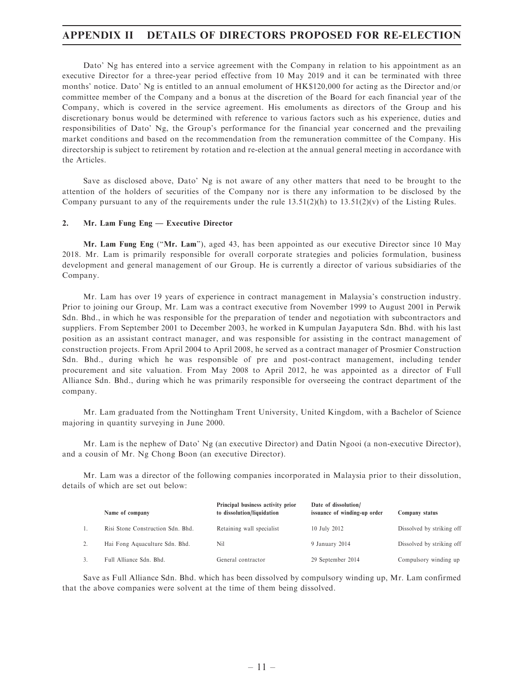Dato' Ng has entered into a service agreement with the Company in relation to his appointment as an executive Director for a three-year period effective from 10 May 2019 and it can be terminated with three months' notice. Dato' Ng is entitled to an annual emolument of HK\$120,000 for acting as the Director and/or committee member of the Company and a bonus at the discretion of the Board for each financial year of the Company, which is covered in the service agreement. His emoluments as directors of the Group and his discretionary bonus would be determined with reference to various factors such as his experience, duties and responsibilities of Dato' Ng, the Group's performance for the financial year concerned and the prevailing market conditions and based on the recommendation from the remuneration committee of the Company. His directorship is subject to retirement by rotation and re-election at the annual general meeting in accordance with the Articles.

Save as disclosed above, Dato' Ng is not aware of any other matters that need to be brought to the attention of the holders of securities of the Company nor is there any information to be disclosed by the Company pursuant to any of the requirements under the rule  $13.51(2)(h)$  to  $13.51(2)(v)$  of the Listing Rules.

#### 2. Mr. Lam Fung Eng — Executive Director

Mr. Lam Fung Eng (''Mr. Lam''), aged 43, has been appointed as our executive Director since 10 May 2018. Mr. Lam is primarily responsible for overall corporate strategies and policies formulation, business development and general management of our Group. He is currently a director of various subsidiaries of the Company.

Mr. Lam has over 19 years of experience in contract management in Malaysia's construction industry. Prior to joining our Group, Mr. Lam was a contract executive from November 1999 to August 2001 in Perwik Sdn. Bhd., in which he was responsible for the preparation of tender and negotiation with subcontractors and suppliers. From September 2001 to December 2003, he worked in Kumpulan Jayaputera Sdn. Bhd. with his last position as an assistant contract manager, and was responsible for assisting in the contract management of construction projects. From April 2004 to April 2008, he served as a contract manager of Prosmier Construction Sdn. Bhd., during which he was responsible of pre and post-contract management, including tender procurement and site valuation. From May 2008 to April 2012, he was appointed as a director of Full Alliance Sdn. Bhd., during which he was primarily responsible for overseeing the contract department of the company.

Mr. Lam graduated from the Nottingham Trent University, United Kingdom, with a Bachelor of Science majoring in quantity surveying in June 2000.

Mr. Lam is the nephew of Dato' Ng (an executive Director) and Datin Ngooi (a non-executive Director), and a cousin of Mr. Ng Chong Boon (an executive Director).

Mr. Lam was a director of the following companies incorporated in Malaysia prior to their dissolution, details of which are set out below:

| Name of company                   | Principal business activity prior<br>to dissolution/liquidation | Date of dissolution/<br>issuance of winding-up order | Company status            |
|-----------------------------------|-----------------------------------------------------------------|------------------------------------------------------|---------------------------|
| Risi Stone Construction Sdn. Bhd. | Retaining wall specialist                                       | 10 July 2012                                         | Dissolved by striking off |
| Hai Fong Aquaculture Sdn. Bhd.    | Nil                                                             | 9 January 2014                                       | Dissolved by striking off |
| Full Alliance Sdn. Bhd.           | General contractor                                              | 29 September 2014                                    | Compulsory winding up     |

Save as Full Alliance Sdn. Bhd. which has been dissolved by compulsory winding up, Mr. Lam confirmed that the above companies were solvent at the time of them being dissolved.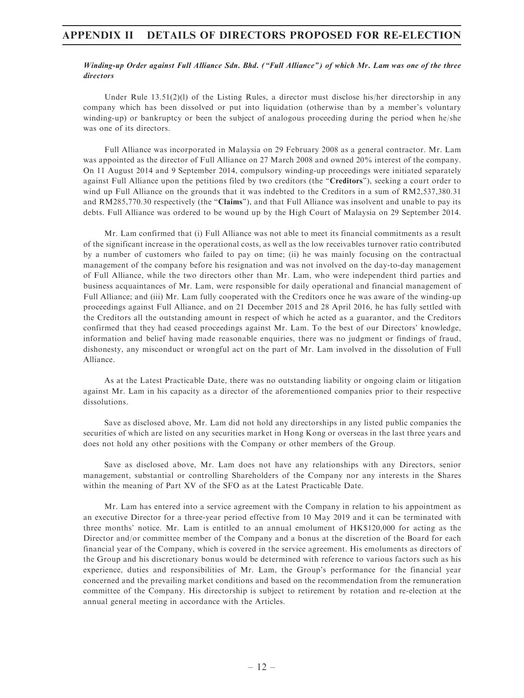### Winding-up Order against Full Alliance Sdn. Bhd. (''Full Alliance'') of which Mr. Lam was one of the three directors

Under Rule  $13.51(2)(1)$  of the Listing Rules, a director must disclose his/her directorship in any company which has been dissolved or put into liquidation (otherwise than by a member's voluntary winding-up) or bankruptcy or been the subject of analogous proceeding during the period when he/she was one of its directors.

Full Alliance was incorporated in Malaysia on 29 February 2008 as a general contractor. Mr. Lam was appointed as the director of Full Alliance on 27 March 2008 and owned 20% interest of the company. On 11 August 2014 and 9 September 2014, compulsory winding-up proceedings were initiated separately against Full Alliance upon the petitions filed by two creditors (the "Creditors"), seeking a court order to wind up Full Alliance on the grounds that it was indebted to the Creditors in a sum of RM2,537,380.31 and RM285,770.30 respectively (the "Claims"), and that Full Alliance was insolvent and unable to pay its debts. Full Alliance was ordered to be wound up by the High Court of Malaysia on 29 September 2014.

Mr. Lam confirmed that (i) Full Alliance was not able to meet its financial commitments as a result of the significant increase in the operational costs, as well as the low receivables turnover ratio contributed by a number of customers who failed to pay on time; (ii) he was mainly focusing on the contractual management of the company before his resignation and was not involved on the day-to-day management of Full Alliance, while the two directors other than Mr. Lam, who were independent third parties and business acquaintances of Mr. Lam, were responsible for daily operational and financial management of Full Alliance; and (iii) Mr. Lam fully cooperated with the Creditors once he was aware of the winding-up proceedings against Full Alliance, and on 21 December 2015 and 28 April 2016, he has fully settled with the Creditors all the outstanding amount in respect of which he acted as a guarantor, and the Creditors confirmed that they had ceased proceedings against Mr. Lam. To the best of our Directors' knowledge, information and belief having made reasonable enquiries, there was no judgment or findings of fraud, dishonesty, any misconduct or wrongful act on the part of Mr. Lam involved in the dissolution of Full Alliance.

As at the Latest Practicable Date, there was no outstanding liability or ongoing claim or litigation against Mr. Lam in his capacity as a director of the aforementioned companies prior to their respective dissolutions.

Save as disclosed above, Mr. Lam did not hold any directorships in any listed public companies the securities of which are listed on any securities market in Hong Kong or overseas in the last three years and does not hold any other positions with the Company or other members of the Group.

Save as disclosed above, Mr. Lam does not have any relationships with any Directors, senior management, substantial or controlling Shareholders of the Company nor any interests in the Shares within the meaning of Part XV of the SFO as at the Latest Practicable Date.

Mr. Lam has entered into a service agreement with the Company in relation to his appointment as an executive Director for a three-year period effective from 10 May 2019 and it can be terminated with three months' notice. Mr. Lam is entitled to an annual emolument of HK\$120,000 for acting as the Director and/or committee member of the Company and a bonus at the discretion of the Board for each financial year of the Company, which is covered in the service agreement. His emoluments as directors of the Group and his discretionary bonus would be determined with reference to various factors such as his experience, duties and responsibilities of Mr. Lam, the Group's performance for the financial year concerned and the prevailing market conditions and based on the recommendation from the remuneration committee of the Company. His directorship is subject to retirement by rotation and re-election at the annual general meeting in accordance with the Articles.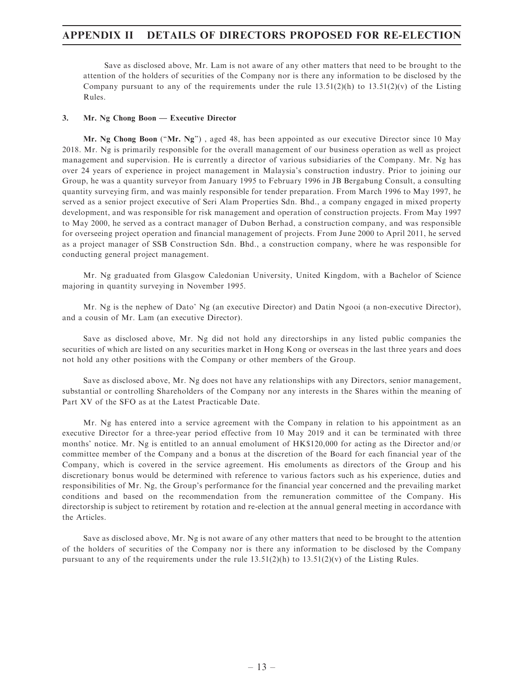Save as disclosed above, Mr. Lam is not aware of any other matters that need to be brought to the attention of the holders of securities of the Company nor is there any information to be disclosed by the Company pursuant to any of the requirements under the rule  $13.51(2)(h)$  to  $13.51(2)(v)$  of the Listing Rules.

#### 3. Mr. Ng Chong Boon — Executive Director

Mr. Ng Chong Boon ("Mr. Ng"), aged 48, has been appointed as our executive Director since 10 May 2018. Mr. Ng is primarily responsible for the overall management of our business operation as well as project management and supervision. He is currently a director of various subsidiaries of the Company. Mr. Ng has over 24 years of experience in project management in Malaysia's construction industry. Prior to joining our Group, he was a quantity surveyor from January 1995 to February 1996 in JB Bergabung Consult, a consulting quantity surveying firm, and was mainly responsible for tender preparation. From March 1996 to May 1997, he served as a senior project executive of Seri Alam Properties Sdn. Bhd., a company engaged in mixed property development, and was responsible for risk management and operation of construction projects. From May 1997 to May 2000, he served as a contract manager of Dubon Berhad, a construction company, and was responsible for overseeing project operation and financial management of projects. From June 2000 to April 2011, he served as a project manager of SSB Construction Sdn. Bhd., a construction company, where he was responsible for conducting general project management.

Mr. Ng graduated from Glasgow Caledonian University, United Kingdom, with a Bachelor of Science majoring in quantity surveying in November 1995.

Mr. Ng is the nephew of Dato' Ng (an executive Director) and Datin Ngooi (a non-executive Director), and a cousin of Mr. Lam (an executive Director).

Save as disclosed above, Mr. Ng did not hold any directorships in any listed public companies the securities of which are listed on any securities market in Hong Kong or overseas in the last three years and does not hold any other positions with the Company or other members of the Group.

Save as disclosed above, Mr. Ng does not have any relationships with any Directors, senior management, substantial or controlling Shareholders of the Company nor any interests in the Shares within the meaning of Part XV of the SFO as at the Latest Practicable Date.

Mr. Ng has entered into a service agreement with the Company in relation to his appointment as an executive Director for a three-year period effective from 10 May 2019 and it can be terminated with three months' notice. Mr. Ng is entitled to an annual emolument of HK\$120,000 for acting as the Director and/or committee member of the Company and a bonus at the discretion of the Board for each financial year of the Company, which is covered in the service agreement. His emoluments as directors of the Group and his discretionary bonus would be determined with reference to various factors such as his experience, duties and responsibilities of Mr. Ng, the Group's performance for the financial year concerned and the prevailing market conditions and based on the recommendation from the remuneration committee of the Company. His directorship is subject to retirement by rotation and re-election at the annual general meeting in accordance with the Articles.

Save as disclosed above, Mr. Ng is not aware of any other matters that need to be brought to the attention of the holders of securities of the Company nor is there any information to be disclosed by the Company pursuant to any of the requirements under the rule  $13.51(2)(h)$  to  $13.51(2)(v)$  of the Listing Rules.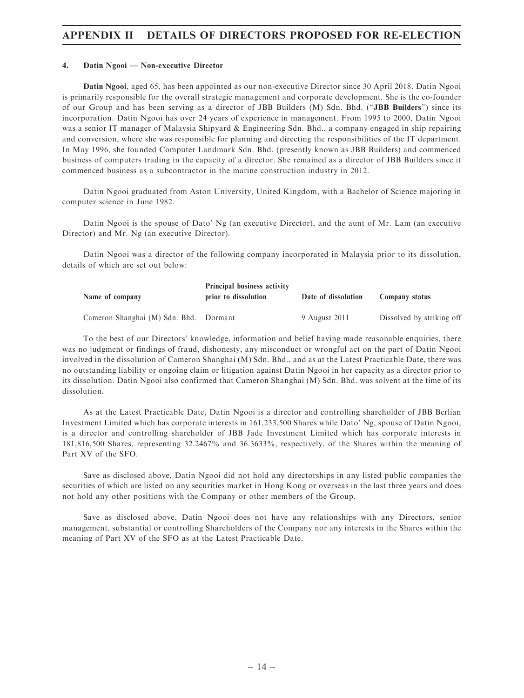#### 4. Datin Ngooi — Non-executive Director

Datin Ngooi, aged 65, has been appointed as our non-executive Director since 30 April 2018. Datin Ngooi is primarily responsible for the overall strategic management and corporate development. She is the co-founder of our Group and has been serving as a director of JBB Builders (M) Sdn. Bhd. (''JBB Builders'') since its incorporation. Datin Ngooi has over 24 years of experience in management. From 1995 to 2000, Datin Ngooi was a senior IT manager of Malaysia Shipyard & Engineering Sdn. Bhd., a company engaged in ship repairing and conversion, where she was responsible for planning and directing the responsibilities of the IT department. In May 1996, she founded Computer Landmark Sdn. Bhd. (presently known as JBB Builders) and commenced business of computers trading in the capacity of a director. She remained as a director of JBB Builders since it commenced business as a subcontractor in the marine construction industry in 2012.

Datin Ngooi graduated from Aston University, United Kingdom, with a Bachelor of Science majoring in computer science in June 1982.

Datin Ngooi is the spouse of Dato' Ng (an executive Director), and the aunt of Mr. Lam (an executive Director) and Mr. Ng (an executive Director).

Datin Ngooi was a director of the following company incorporated in Malaysia prior to its dissolution, details of which are set out below:

| Name of company                        | <b>Principal business activity</b><br>prior to dissolution | Date of dissolution | Company status            |  |
|----------------------------------------|------------------------------------------------------------|---------------------|---------------------------|--|
| Cameron Shanghai (M) Sdn. Bhd. Dormant |                                                            | 9 August 2011       | Dissolved by striking off |  |

To the best of our Directors' knowledge, information and belief having made reasonable enquiries, there was no judgment or findings of fraud, dishonesty, any misconduct or wrongful act on the part of Datin Ngooi involved in the dissolution of Cameron Shanghai (M) Sdn. Bhd., and as at the Latest Practicable Date, there was no outstanding liability or ongoing claim or litigation against Datin Ngooi in her capacity as a director prior to its dissolution. Datin Ngooi also confirmed that Cameron Shanghai (M) Sdn. Bhd. was solvent at the time of its dissolution.

As at the Latest Practicable Date, Datin Ngooi is a director and controlling shareholder of JBB Berlian Investment Limited which has corporate interests in 161,233,500 Shares while Dato' Ng, spouse of Datin Ngooi, is a director and controlling shareholder of JBB Jade Investment Limited which has corporate interests in 181,816,500 Shares, representing 32.2467% and 36.3633%, respectively, of the Shares within the meaning of Part XV of the SFO.

Save as disclosed above, Datin Ngooi did not hold any directorships in any listed public companies the securities of which are listed on any securities market in Hong Kong or overseas in the last three years and does not hold any other positions with the Company or other members of the Group.

Save as disclosed above, Datin Ngooi does not have any relationships with any Directors, senior management, substantial or controlling Shareholders of the Company nor any interests in the Shares within the meaning of Part XV of the SFO as at the Latest Practicable Date.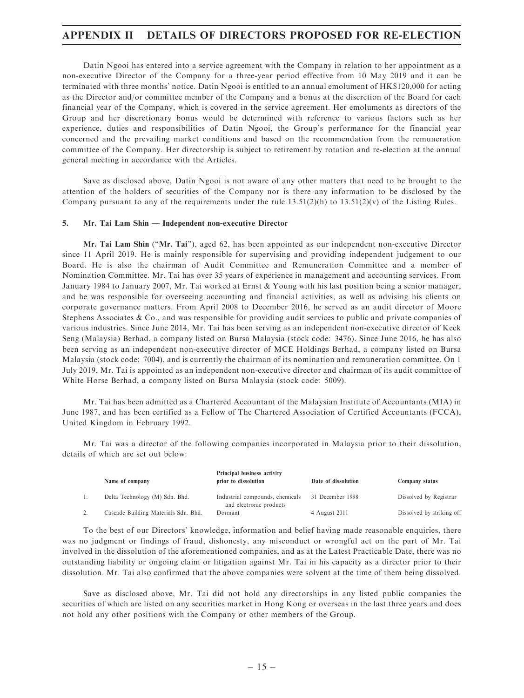Datin Ngooi has entered into a service agreement with the Company in relation to her appointment as a non-executive Director of the Company for a three-year period effective from 10 May 2019 and it can be terminated with three months' notice. Datin Ngooi is entitled to an annual emolument of HK\$120,000 for acting as the Director and/or committee member of the Company and a bonus at the discretion of the Board for each financial year of the Company, which is covered in the service agreement. Her emoluments as directors of the Group and her discretionary bonus would be determined with reference to various factors such as her experience, duties and responsibilities of Datin Ngooi, the Group's performance for the financial year concerned and the prevailing market conditions and based on the recommendation from the remuneration committee of the Company. Her directorship is subject to retirement by rotation and re-election at the annual general meeting in accordance with the Articles.

Save as disclosed above, Datin Ngooi is not aware of any other matters that need to be brought to the attention of the holders of securities of the Company nor is there any information to be disclosed by the Company pursuant to any of the requirements under the rule  $13.51(2)(h)$  to  $13.51(2)(v)$  of the Listing Rules.

#### 5. Mr. Tai Lam Shin — Independent non-executive Director

Mr. Tai Lam Shin (''Mr. Tai''), aged 62, has been appointed as our independent non-executive Director since 11 April 2019. He is mainly responsible for supervising and providing independent judgement to our Board. He is also the chairman of Audit Committee and Remuneration Committee and a member of Nomination Committee. Mr. Tai has over 35 years of experience in management and accounting services. From January 1984 to January 2007, Mr. Tai worked at Ernst & Young with his last position being a senior manager, and he was responsible for overseeing accounting and financial activities, as well as advising his clients on corporate governance matters. From April 2008 to December 2016, he served as an audit director of Moore Stephens Associates & Co., and was responsible for providing audit services to public and private companies of various industries. Since June 2014, Mr. Tai has been serving as an independent non-executive director of Keck Seng (Malaysia) Berhad, a company listed on Bursa Malaysia (stock code: 3476). Since June 2016, he has also been serving as an independent non-executive director of MCE Holdings Berhad, a company listed on Bursa Malaysia (stock code: 7004), and is currently the chairman of its nomination and remuneration committee. On 1 July 2019, Mr. Tai is appointed as an independent non-executive director and chairman of its audit committee of White Horse Berhad, a company listed on Bursa Malaysia (stock code: 5009).

Mr. Tai has been admitted as a Chartered Accountant of the Malaysian Institute of Accountants (MIA) in June 1987, and has been certified as a Fellow of The Chartered Association of Certified Accountants (FCCA), United Kingdom in February 1992.

Mr. Tai was a director of the following companies incorporated in Malaysia prior to their dissolution, details of which are set out below:

| Name of company                      | Principal business activity<br>prior to dissolution        | Date of dissolution | Company status            |
|--------------------------------------|------------------------------------------------------------|---------------------|---------------------------|
| Delta Technology (M) Sdn. Bhd.       | Industrial compounds, chemicals<br>and electronic products | 31 December 1998    | Dissolved by Registrar    |
| Cascade Building Materials Sdn. Bhd. | Dormant                                                    | 4 August 2011       | Dissolved by striking off |

To the best of our Directors' knowledge, information and belief having made reasonable enquiries, there was no judgment or findings of fraud, dishonesty, any misconduct or wrongful act on the part of Mr. Tai involved in the dissolution of the aforementioned companies, and as at the Latest Practicable Date, there was no outstanding liability or ongoing claim or litigation against Mr. Tai in his capacity as a director prior to their dissolution. Mr. Tai also confirmed that the above companies were solvent at the time of them being dissolved.

Save as disclosed above, Mr. Tai did not hold any directorships in any listed public companies the securities of which are listed on any securities market in Hong Kong or overseas in the last three years and does not hold any other positions with the Company or other members of the Group.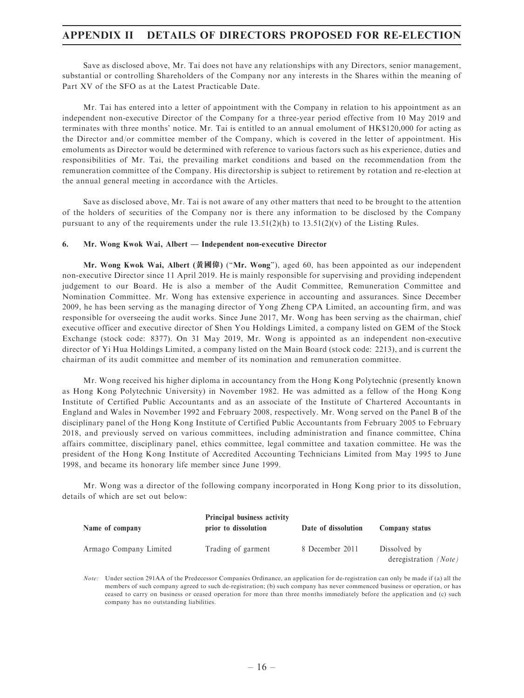Save as disclosed above, Mr. Tai does not have any relationships with any Directors, senior management, substantial or controlling Shareholders of the Company nor any interests in the Shares within the meaning of Part XV of the SFO as at the Latest Practicable Date.

Mr. Tai has entered into a letter of appointment with the Company in relation to his appointment as an independent non-executive Director of the Company for a three-year period effective from 10 May 2019 and terminates with three months' notice. Mr. Tai is entitled to an annual emolument of HK\$120,000 for acting as the Director and/or committee member of the Company, which is covered in the letter of appointment. His emoluments as Director would be determined with reference to various factors such as his experience, duties and responsibilities of Mr. Tai, the prevailing market conditions and based on the recommendation from the remuneration committee of the Company. His directorship is subject to retirement by rotation and re-election at the annual general meeting in accordance with the Articles.

Save as disclosed above, Mr. Tai is not aware of any other matters that need to be brought to the attention of the holders of securities of the Company nor is there any information to be disclosed by the Company pursuant to any of the requirements under the rule  $13.51(2)(h)$  to  $13.51(2)(v)$  of the Listing Rules.

#### 6. Mr. Wong Kwok Wai, Albert — Independent non-executive Director

Mr. Wong Kwok Wai, Albert (黃國偉) (''Mr. Wong''), aged 60, has been appointed as our independent non-executive Director since 11 April 2019. He is mainly responsible for supervising and providing independent judgement to our Board. He is also a member of the Audit Committee, Remuneration Committee and Nomination Committee. Mr. Wong has extensive experience in accounting and assurances. Since December 2009, he has been serving as the managing director of Yong Zheng CPA Limited, an accounting firm, and was responsible for overseeing the audit works. Since June 2017, Mr. Wong has been serving as the chairman, chief executive officer and executive director of Shen You Holdings Limited, a company listed on GEM of the Stock Exchange (stock code: 8377). On 31 May 2019, Mr. Wong is appointed as an independent non-executive director of Yi Hua Holdings Limited, a company listed on the Main Board (stock code: 2213), and is current the chairman of its audit committee and member of its nomination and remuneration committee.

Mr. Wong received his higher diploma in accountancy from the Hong Kong Polytechnic (presently known as Hong Kong Polytechnic University) in November 1982. He was admitted as a fellow of the Hong Kong Institute of Certified Public Accountants and as an associate of the Institute of Chartered Accountants in England and Wales in November 1992 and February 2008, respectively. Mr. Wong served on the Panel B of the disciplinary panel of the Hong Kong Institute of Certified Public Accountants from February 2005 to February 2018, and previously served on various committees, including administration and finance committee, China affairs committee, disciplinary panel, ethics committee, legal committee and taxation committee. He was the president of the Hong Kong Institute of Accredited Accounting Technicians Limited from May 1995 to June 1998, and became its honorary life member since June 1999.

Mr. Wong was a director of the following company incorporated in Hong Kong prior to its dissolution, details of which are set out below:

| Name of company        | <b>Principal business activity</b><br>prior to dissolution | Date of dissolution | Company status                        |
|------------------------|------------------------------------------------------------|---------------------|---------------------------------------|
| Armago Company Limited | Trading of garment                                         | 8 December 2011     | Dissolved by<br>deregistration (Note) |

Note: Under section 291AA of the Predecessor Companies Ordinance, an application for de-registration can only be made if (a) all the members of such company agreed to such de-registration; (b) such company has never commenced business or operation, or has ceased to carry on business or ceased operation for more than three months immediately before the application and (c) such company has no outstanding liabilities.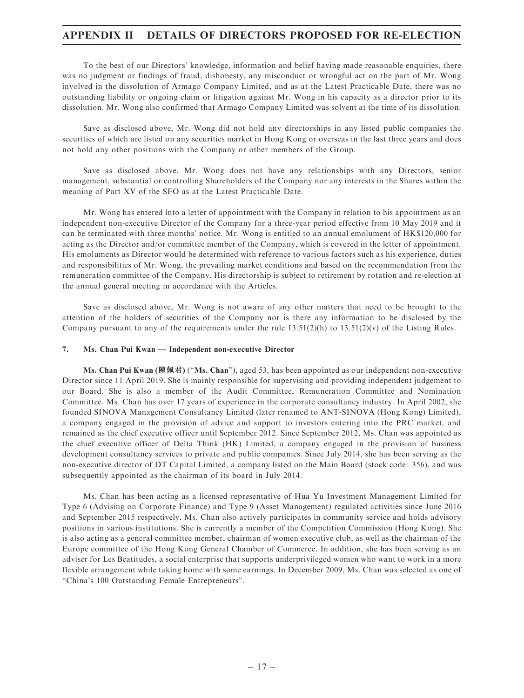To the best of our Directors' knowledge, information and belief having made reasonable enquiries, there was no judgment or findings of fraud, dishonesty, any misconduct or wrongful act on the part of Mr. Wong involved in the dissolution of Armago Company Limited, and as at the Latest Practicable Date, there was no outstanding liability or ongoing claim or litigation against Mr. Wong in his capacity as a director prior to its dissolution. Mr. Wong also confirmed that Armago Company Limited was solvent at the time of its dissolution.

Save as disclosed above, Mr. Wong did not hold any directorships in any listed public companies the securities of which are listed on any securities market in Hong Kong or overseas in the last three years and does not hold any other positions with the Company or other members of the Group.

Save as disclosed above, Mr. Wong does not have any relationships with any Directors, senior management, substantial or controlling Shareholders of the Company nor any interests in the Shares within the meaning of Part XV of the SFO as at the Latest Practicable Date.

Mr. Wong has entered into a letter of appointment with the Company in relation to his appointment as an independent non-executive Director of the Company for a three-year period effective from 10 May 2019 and it can be terminated with three months' notice. Mr. Wong is entitled to an annual emolument of HK\$120,000 for acting as the Director and/or committee member of the Company, which is covered in the letter of appointment. His emoluments as Director would be determined with reference to various factors such as his experience, duties and responsibilities of Mr. Wong, the prevailing market conditions and based on the recommendation from the remuneration committee of the Company. His directorship is subject to retirement by rotation and re-election at the annual general meeting in accordance with the Articles.

Save as disclosed above, Mr. Wong is not aware of any other matters that need to be brought to the attention of the holders of securities of the Company nor is there any information to be disclosed by the Company pursuant to any of the requirements under the rule  $13.51(2)(h)$  to  $13.51(2)(v)$  of the Listing Rules.

#### 7. Ms. Chan Pui Kwan — Independent non-executive Director

Ms. Chan Pui Kwan (陳佩君) ("Ms. Chan"), aged 53, has been appointed as our independent non-executive Director since 11 April 2019. She is mainly responsible for supervising and providing independent judgement to our Board. She is also a member of the Audit Committee, Remuneration Committee and Nomination Committee. Ms. Chan has over 17 years of experience in the corporate consultancy industry. In April 2002, she founded SINOVA Management Consultancy Limited (later renamed to ANT-SINOVA (Hong Kong) Limited), a company engaged in the provision of advice and support to investors entering into the PRC market, and remained as the chief executive officer until September 2012. Since September 2012, Ms. Chan was appointed as the chief executive officer of Delta Think (HK) Limited, a company engaged in the provision of business development consultancy services to private and public companies. Since July 2014, she has been serving as the non-executive director of DT Capital Limited, a company listed on the Main Board (stock code: 356), and was subsequently appointed as the chairman of its board in July 2014.

Ms. Chan has been acting as a licensed representative of Hua Yu Investment Management Limited for Type 6 (Advising on Corporate Finance) and Type 9 (Asset Management) regulated activities since June 2016 and September 2015 respectively. Ms. Chan also actively participates in community service and holds advisory positions in various institutions. She is currently a member of the Competition Commission (Hong Kong). She is also acting as a general committee member, chairman of women executive club, as well as the chairman of the Europe committee of the Hong Kong General Chamber of Commerce. In addition, she has been serving as an adviser for Les Beatitudes, a social enterprise that supports underprivileged women who want to work in a more flexible arrangement while taking home with some earnings. In December 2009, Ms. Chan was selected as one of ''China's 100 Outstanding Female Entrepreneurs''.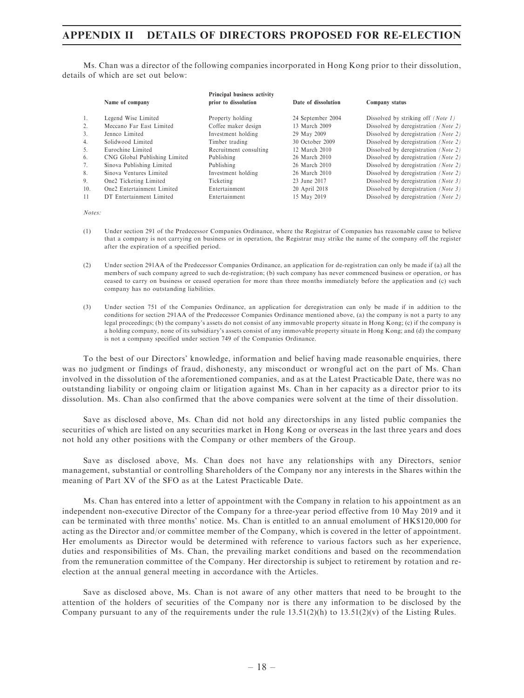Ms. Chan was a director of the following companies incorporated in Hong Kong prior to their dissolution, details of which are set out below:

|     | Name of company               | Principal business activity<br>prior to dissolution | Date of dissolution | Company status                            |
|-----|-------------------------------|-----------------------------------------------------|---------------------|-------------------------------------------|
| -1. | Legend Wise Limited           | Property holding                                    | 24 September 2004   | Dissolved by striking off <i>(Note 1)</i> |
| 2.  | Meccano Far East Limited      | Coffee maker design                                 | 13 March 2009       | Dissolved by deregistration (Note 2)      |
| 3.  | Jenneo Limited                | Investment holding                                  | 29 May 2009         | Dissolved by deregistration (Note 2)      |
| 4.  | Solidwood Limited             | Timber trading                                      | 30 October 2009     | Dissolved by deregistration (Note 2)      |
| 5.  | Eurochine Limited             | Recruitment consulting                              | 12 March 2010       | Dissolved by deregistration (Note 2)      |
| 6.  | CNG Global Publishing Limited | Publishing                                          | 26 March 2010       | Dissolved by deregistration (Note 2)      |
| 7.  | Sinova Publishing Limited     | Publishing                                          | 26 March 2010       | Dissolved by deregistration (Note 2)      |
| 8.  | Sinova Ventures Limited       | Investment holding                                  | 26 March 2010       | Dissolved by deregistration (Note 2)      |
| 9.  | One2 Ticketing Limited        | Ticketing                                           | 23 June 2017        | Dissolved by deregistration (Note 3)      |
| 10. | One2 Entertainment Limited    | Entertainment                                       | 20 April 2018       | Dissolved by deregistration (Note 3)      |
| -11 | DT Entertainment Limited      | Entertainment                                       | 15 May 2019         | Dissolved by deregistration (Note 2)      |

Notes:

- (1) Under section 291 of the Predecessor Companies Ordinance, where the Registrar of Companies has reasonable cause to believe that a company is not carrying on business or in operation, the Registrar may strike the name of the company off the register after the expiration of a specified period.
- (2) Under section 291AA of the Predecessor Companies Ordinance, an application for de-registration can only be made if (a) all the members of such company agreed to such de-registration; (b) such company has never commenced business or operation, or has ceased to carry on business or ceased operation for more than three months immediately before the application and (c) such company has no outstanding liabilities.
- (3) Under section 751 of the Companies Ordinance, an application for deregistration can only be made if in addition to the conditions for section 291AA of the Predecessor Companies Ordinance mentioned above, (a) the company is not a party to any legal proceedings; (b) the company's assets do not consist of any immovable property situate in Hong Kong; (c) if the company is a holding company, none of its subsidiary's assets consist of any immovable property situate in Hong Kong; and (d) the company is not a company specified under section 749 of the Companies Ordinance.

To the best of our Directors' knowledge, information and belief having made reasonable enquiries, there was no judgment or findings of fraud, dishonesty, any misconduct or wrongful act on the part of Ms. Chan involved in the dissolution of the aforementioned companies, and as at the Latest Practicable Date, there was no outstanding liability or ongoing claim or litigation against Ms. Chan in her capacity as a director prior to its dissolution. Ms. Chan also confirmed that the above companies were solvent at the time of their dissolution.

Save as disclosed above, Ms. Chan did not hold any directorships in any listed public companies the securities of which are listed on any securities market in Hong Kong or overseas in the last three years and does not hold any other positions with the Company or other members of the Group.

Save as disclosed above, Ms. Chan does not have any relationships with any Directors, senior management, substantial or controlling Shareholders of the Company nor any interests in the Shares within the meaning of Part XV of the SFO as at the Latest Practicable Date.

Ms. Chan has entered into a letter of appointment with the Company in relation to his appointment as an independent non-executive Director of the Company for a three-year period effective from 10 May 2019 and it can be terminated with three months' notice. Ms. Chan is entitled to an annual emolument of HK\$120,000 for acting as the Director and/or committee member of the Company, which is covered in the letter of appointment. Her emoluments as Director would be determined with reference to various factors such as her experience, duties and responsibilities of Ms. Chan, the prevailing market conditions and based on the recommendation from the remuneration committee of the Company. Her directorship is subject to retirement by rotation and reelection at the annual general meeting in accordance with the Articles.

Save as disclosed above, Ms. Chan is not aware of any other matters that need to be brought to the attention of the holders of securities of the Company nor is there any information to be disclosed by the Company pursuant to any of the requirements under the rule  $13.51(2)(h)$  to  $13.51(2)(v)$  of the Listing Rules.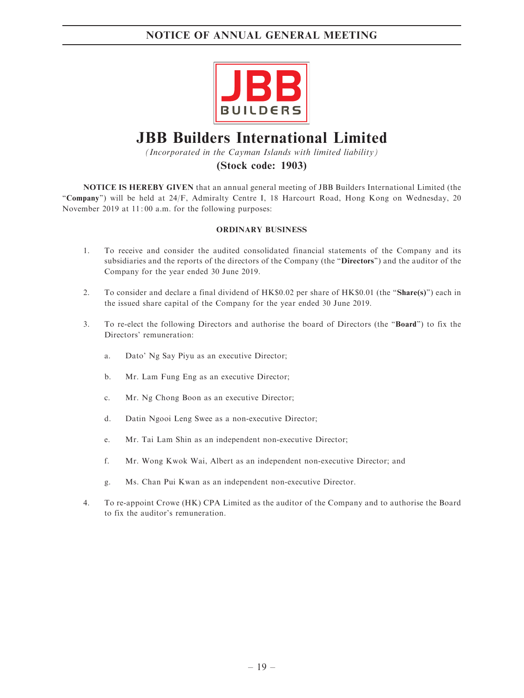

# JBB Builders International Limited

(Incorporated in the Cayman Islands with limited liability)

### (Stock code: 1903)

NOTICE IS HEREBY GIVEN that an annual general meeting of JBB Builders International Limited (the ''Company'') will be held at 24/F, Admiralty Centre I, 18 Harcourt Road, Hong Kong on Wednesday, 20 November 2019 at 11: 00 a.m. for the following purposes:

### ORDINARY BUSINESS

- 1. To receive and consider the audited consolidated financial statements of the Company and its subsidiaries and the reports of the directors of the Company (the "Directors") and the auditor of the Company for the year ended 30 June 2019.
- 2. To consider and declare a final dividend of HK\$0.02 per share of HK\$0.01 (the "Share(s)") each in the issued share capital of the Company for the year ended 30 June 2019.
- 3. To re-elect the following Directors and authorise the board of Directors (the ''Board'') to fix the Directors' remuneration:
	- a. Dato' Ng Say Piyu as an executive Director;
	- b. Mr. Lam Fung Eng as an executive Director;
	- c. Mr. Ng Chong Boon as an executive Director;
	- d. Datin Ngooi Leng Swee as a non-executive Director;
	- e. Mr. Tai Lam Shin as an independent non-executive Director;
	- f. Mr. Wong Kwok Wai, Albert as an independent non-executive Director; and
	- g. Ms. Chan Pui Kwan as an independent non-executive Director.
- 4. To re-appoint Crowe (HK) CPA Limited as the auditor of the Company and to authorise the Board to fix the auditor's remuneration.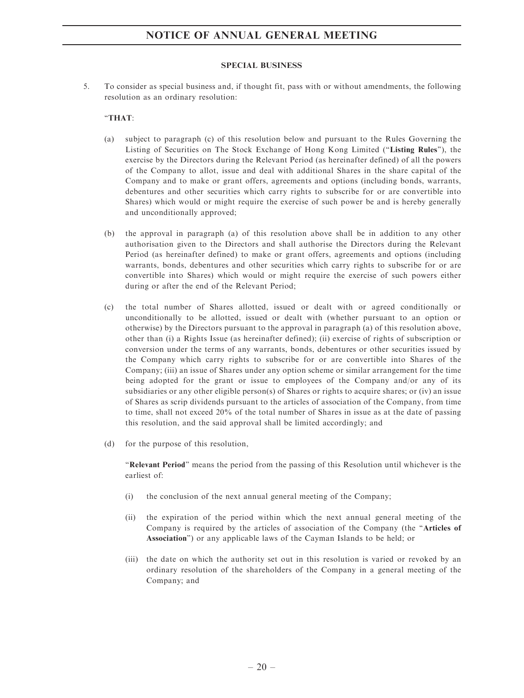#### SPECIAL BUSINESS

5. To consider as special business and, if thought fit, pass with or without amendments, the following resolution as an ordinary resolution:

### ''THAT:

- (a) subject to paragraph (c) of this resolution below and pursuant to the Rules Governing the Listing of Securities on The Stock Exchange of Hong Kong Limited (''Listing Rules''), the exercise by the Directors during the Relevant Period (as hereinafter defined) of all the powers of the Company to allot, issue and deal with additional Shares in the share capital of the Company and to make or grant offers, agreements and options (including bonds, warrants, debentures and other securities which carry rights to subscribe for or are convertible into Shares) which would or might require the exercise of such power be and is hereby generally and unconditionally approved;
- (b) the approval in paragraph (a) of this resolution above shall be in addition to any other authorisation given to the Directors and shall authorise the Directors during the Relevant Period (as hereinafter defined) to make or grant offers, agreements and options (including warrants, bonds, debentures and other securities which carry rights to subscribe for or are convertible into Shares) which would or might require the exercise of such powers either during or after the end of the Relevant Period;
- (c) the total number of Shares allotted, issued or dealt with or agreed conditionally or unconditionally to be allotted, issued or dealt with (whether pursuant to an option or otherwise) by the Directors pursuant to the approval in paragraph (a) of this resolution above, other than (i) a Rights Issue (as hereinafter defined); (ii) exercise of rights of subscription or conversion under the terms of any warrants, bonds, debentures or other securities issued by the Company which carry rights to subscribe for or are convertible into Shares of the Company; (iii) an issue of Shares under any option scheme or similar arrangement for the time being adopted for the grant or issue to employees of the Company and/or any of its subsidiaries or any other eligible person(s) of Shares or rights to acquire shares; or (iv) an issue of Shares as scrip dividends pursuant to the articles of association of the Company, from time to time, shall not exceed 20% of the total number of Shares in issue as at the date of passing this resolution, and the said approval shall be limited accordingly; and
- (d) for the purpose of this resolution,

''Relevant Period'' means the period from the passing of this Resolution until whichever is the earliest of:

- (i) the conclusion of the next annual general meeting of the Company;
- (ii) the expiration of the period within which the next annual general meeting of the Company is required by the articles of association of the Company (the ''Articles of Association'') or any applicable laws of the Cayman Islands to be held; or
- (iii) the date on which the authority set out in this resolution is varied or revoked by an ordinary resolution of the shareholders of the Company in a general meeting of the Company; and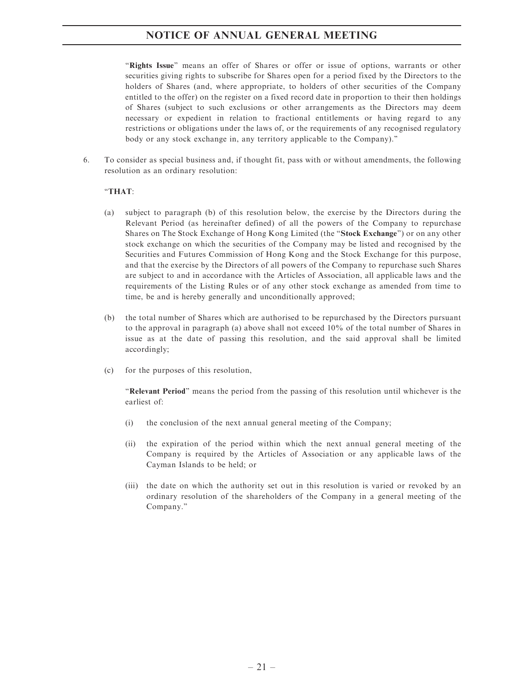"Rights Issue" means an offer of Shares or offer or issue of options, warrants or other securities giving rights to subscribe for Shares open for a period fixed by the Directors to the holders of Shares (and, where appropriate, to holders of other securities of the Company entitled to the offer) on the register on a fixed record date in proportion to their then holdings of Shares (subject to such exclusions or other arrangements as the Directors may deem necessary or expedient in relation to fractional entitlements or having regard to any restrictions or obligations under the laws of, or the requirements of any recognised regulatory body or any stock exchange in, any territory applicable to the Company).''

6. To consider as special business and, if thought fit, pass with or without amendments, the following resolution as an ordinary resolution:

### ''THAT:

- (a) subject to paragraph (b) of this resolution below, the exercise by the Directors during the Relevant Period (as hereinafter defined) of all the powers of the Company to repurchase Shares on The Stock Exchange of Hong Kong Limited (the "Stock Exchange") or on any other stock exchange on which the securities of the Company may be listed and recognised by the Securities and Futures Commission of Hong Kong and the Stock Exchange for this purpose, and that the exercise by the Directors of all powers of the Company to repurchase such Shares are subject to and in accordance with the Articles of Association, all applicable laws and the requirements of the Listing Rules or of any other stock exchange as amended from time to time, be and is hereby generally and unconditionally approved;
- (b) the total number of Shares which are authorised to be repurchased by the Directors pursuant to the approval in paragraph (a) above shall not exceed 10% of the total number of Shares in issue as at the date of passing this resolution, and the said approval shall be limited accordingly;
- (c) for the purposes of this resolution,

''Relevant Period'' means the period from the passing of this resolution until whichever is the earliest of:

- (i) the conclusion of the next annual general meeting of the Company;
- (ii) the expiration of the period within which the next annual general meeting of the Company is required by the Articles of Association or any applicable laws of the Cayman Islands to be held; or
- (iii) the date on which the authority set out in this resolution is varied or revoked by an ordinary resolution of the shareholders of the Company in a general meeting of the Company.''